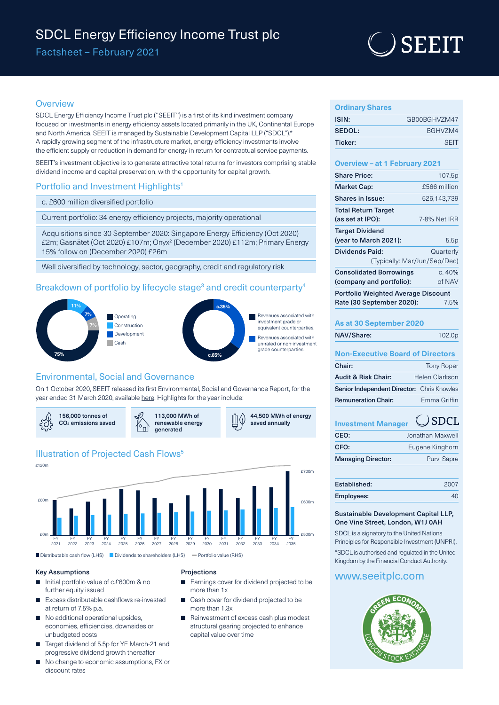# SDCL Energy Efficiency Income Trust plc

Factsheet – February 2021

# **SEEIT**

### **Overview**

SDCL Energy Efficiency Income Trust plc (''SEEIT'') is a first of its kind investment company focused on investments in energy efficiency assets located primarily in the UK, Continental Europe and North America. SEEIT is managed by Sustainable Development Capital LLP ("SDCL").\* A rapidly growing segment of the infrastructure market, energy efficiency investments involve the efficient supply or reduction in demand for energy in return for contractual service payments.

SEEIT's investment objective is to generate attractive total returns for investors comprising stable dividend income and capital preservation, with the opportunity for capital growth.

## Portfolio and Investment Highlights<sup>1</sup>

c. £600 million diversified portfolio

Current portfolio: 34 energy efficiency projects, majority operational

Acquisitions since 30 September 2020: Singapore Energy Efficiency (Oct 2020) £2m; Gasnätet (Oct 2020) £107m; Onyx2 (December 2020) £112m; Primary Energy 15% follow on (December 2020) £26m

Well diversified by technology, sector, geography, credit and regulatory risk

# Breakdown of portfolio by lifecycle stage<sup>3</sup> and credit counterparty<sup>4</sup>



# Environmental, Social and Governance

On 1 October 2020, SEEIT released its first Environmental, Social and Governance Report, for the year ended 31 March 2020, available [here](https://www.seeitplc.com/wp-content/uploads/2020/09/SEEIT-ESG-Report-September-2020.pdf). Highlights for the year include:



# **Illustration of Projected Cash Flows<sup>5</sup>**



### Key Assumptions

- Initial portfolio value of c.£600m & no further equity issued
- Excess distributable cashflows re-invested at return of 7.5% p.a.
- No additional operational upsides, economies, efficiencies, downsides or unbudgeted costs
- Target dividend of 5.5p for YE March-21 and progressive dividend growth thereafter
- No change to economic assumptions, FX or discount rates

### Projections

- Earnings cover for dividend projected to be more than 1x
- Cash cover for dividend projected to be more than 1.3x
- Reinvestment of excess cash plus modest structural gearing projected to enhance capital value over time

| <b>Ordinary Shares</b> |              |
|------------------------|--------------|
| ISIN:                  | GB00BGHVZM47 |
| SEDOL:                 | BGHVZM4      |
| Ticker:                | <b>SFIT</b>  |

### **Overview – at 1 February 2021**

| <b>Share Price:</b>                            | 107.5p       |  |
|------------------------------------------------|--------------|--|
| <b>Market Cap:</b>                             | £566 million |  |
| Shares in Issue:                               | 526,143,739  |  |
| <b>Total Return Target</b><br>(as set at IPO): | 7-8% Net IRR |  |
| <b>Target Dividend</b>                         |              |  |
| (year to March 2021):                          | 5.5p         |  |
| <b>Dividends Paid:</b>                         | Quarterly    |  |
| (Typically: Mar/Jun/Sep/Dec)                   |              |  |
| <b>Consolidated Borrowings</b>                 | c.40%        |  |
| (company and portfolio):                       | of NAV       |  |
| <b>Portfolio Weighted Average Discount</b>     |              |  |
| Rate (30 September 2020):                      | 7.5%         |  |
|                                                |              |  |

# **As at 30 September 2020**

| 102.0 <sub>p</sub> |
|--------------------|
|                    |

## **Non-Executive Board of Directors**

| Chair:                                            | <b>Tony Roper</b> |
|---------------------------------------------------|-------------------|
| <b>Audit &amp; Risk Chair:</b>                    | Helen Clarkson    |
| <b>Senior Independent Director:</b> Chris Knowles |                   |
| <b>Remuneration Chair:</b>                        | Emma Griffin      |
|                                                   |                   |

#### $)$  SDCL **Investment Manager**

| CEO:                      | Jonathan Maxwell   |
|---------------------------|--------------------|
| CFO:                      | Eugene Kinghorn    |
| <b>Managing Director:</b> | <b>Purvi Sapre</b> |
|                           |                    |

| Established: | 2007 |
|--------------|------|
| Employees:   |      |

### Sustainable Development Capital LLP, One Vine Street, London, W1J 0AH

SDCL is a signatory to the United Nations Principles for Responsible Investment (UNPRI). \*SDCL is authorised and regulated in the United Kingdom by the Financial Conduct Authority.

# www.seeitplc.com